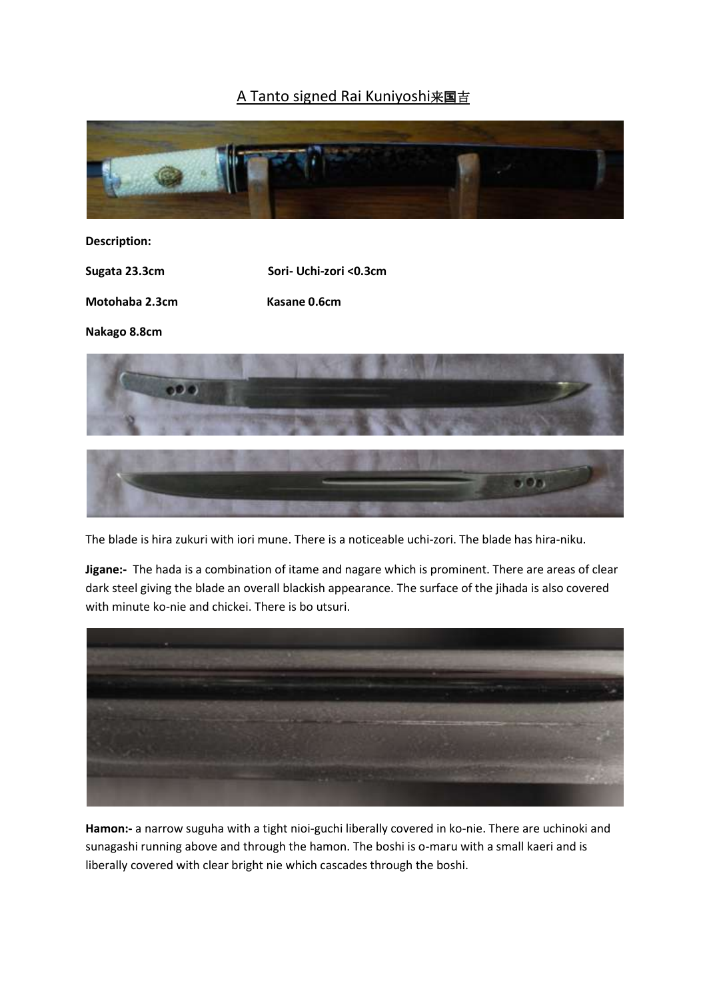## A Tanto signed Rai Kuniyoshi来国吉



## **Description:**

**Sugata 23.3cm Sori- Uchi-zori <0.3cm**

**Motohaba 2.3cm Kasane 0.6cm**

**Nakago 8.8cm**



The blade is hira zukuri with iori mune. There is a noticeable uchi-zori. The blade has hira-niku.

**Jigane:-** The hada is a combination of itame and nagare which is prominent. There are areas of clear dark steel giving the blade an overall blackish appearance. The surface of the jihada is also covered with minute ko-nie and chickei. There is bo utsuri.



**Hamon:-** a narrow suguha with a tight nioi-guchi liberally covered in ko-nie. There are uchinoki and sunagashi running above and through the hamon. The boshi is o-maru with a small kaeri and is liberally covered with clear bright nie which cascades through the boshi.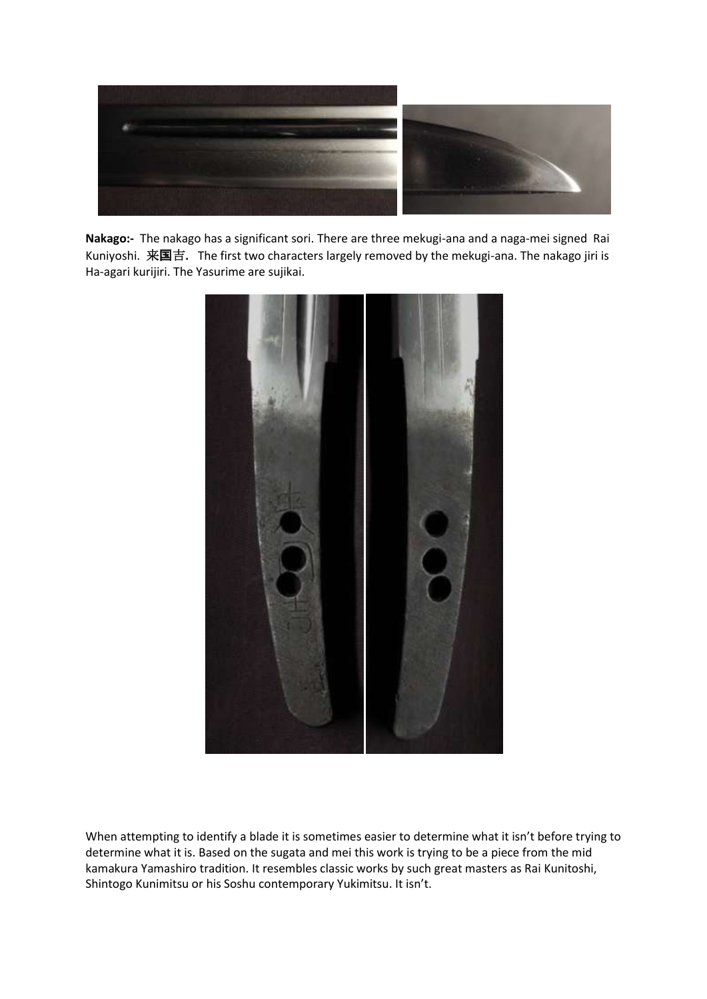

**Nakago:-** The nakago has a significant sori. There are three mekugi-ana and a naga-mei signed Rai Kuniyoshi. 来国吉**.** The first two characters largely removed by the mekugi-ana. The nakago jiri is Ha-agari kurijiri. The Yasurime are sujikai.



When attempting to identify a blade it is sometimes easier to determine what it isn't before trying to determine what it is. Based on the sugata and mei this work is trying to be a piece from the mid kamakura Yamashiro tradition. It resembles classic works by such great masters as Rai Kunitoshi, Shintogo Kunimitsu or his Soshu contemporary Yukimitsu. It isn't.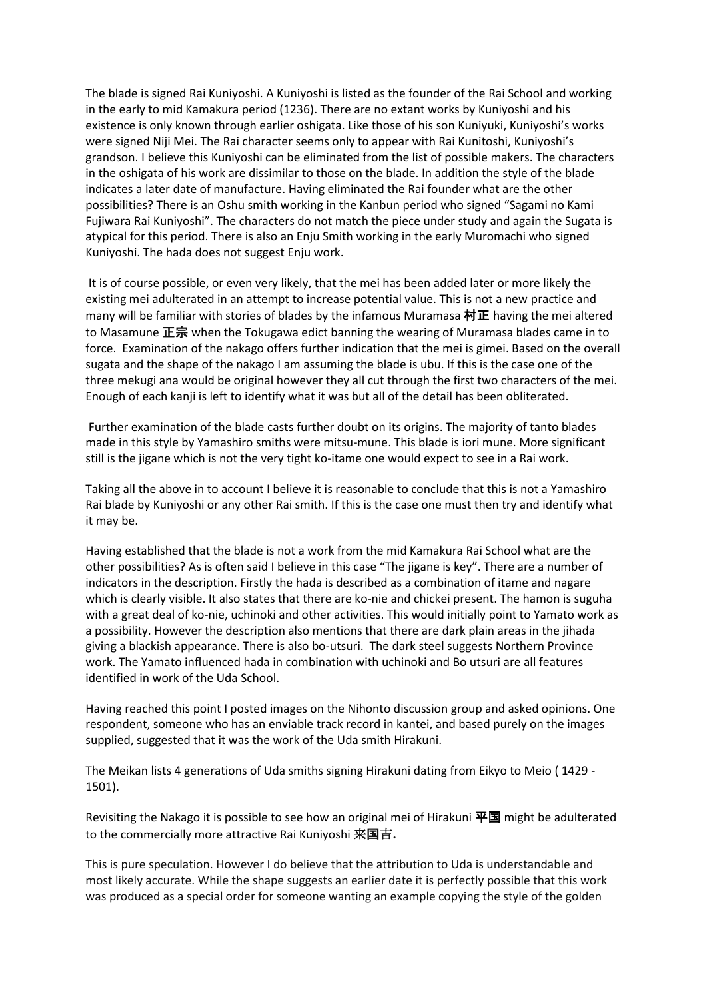The blade is signed Rai Kuniyoshi. A Kuniyoshi is listed as the founder of the Rai School and working in the early to mid Kamakura period (1236). There are no extant works by Kuniyoshi and his existence is only known through earlier oshigata. Like those of his son Kuniyuki, Kuniyoshi's works were signed Niji Mei. The Rai character seems only to appear with Rai Kunitoshi, Kuniyoshi's grandson. I believe this Kuniyoshi can be eliminated from the list of possible makers. The characters in the oshigata of his work are dissimilar to those on the blade. In addition the style of the blade indicates a later date of manufacture. Having eliminated the Rai founder what are the other possibilities? There is an Oshu smith working in the Kanbun period who signed "Sagami no Kami Fujiwara Rai Kuniyoshi". The characters do not match the piece under study and again the Sugata is atypical for this period. There is also an Enju Smith working in the early Muromachi who signed Kuniyoshi. The hada does not suggest Enju work.

It is of course possible, or even very likely, that the mei has been added later or more likely the existing mei adulterated in an attempt to increase potential value. This is not a new practice and many will be familiar with stories of blades by the infamous Muramasa 村正 having the mei altered to Masamune 正宗 when the Tokugawa edict banning the wearing of Muramasa blades came in to force. Examination of the nakago offers further indication that the mei is gimei. Based on the overall sugata and the shape of the nakago I am assuming the blade is ubu. If this is the case one of the three mekugi ana would be original however they all cut through the first two characters of the mei. Enough of each kanji is left to identify what it was but all of the detail has been obliterated.

Further examination of the blade casts further doubt on its origins. The majority of tanto blades made in this style by Yamashiro smiths were mitsu-mune. This blade is iori mune. More significant still is the jigane which is not the very tight ko-itame one would expect to see in a Rai work.

Taking all the above in to account I believe it is reasonable to conclude that this is not a Yamashiro Rai blade by Kuniyoshi or any other Rai smith. If this is the case one must then try and identify what it may be.

Having established that the blade is not a work from the mid Kamakura Rai School what are the other possibilities? As is often said I believe in this case "The jigane is key". There are a number of indicators in the description. Firstly the hada is described as a combination of itame and nagare which is clearly visible. It also states that there are ko-nie and chickei present. The hamon is suguha with a great deal of ko-nie, uchinoki and other activities. This would initially point to Yamato work as a possibility. However the description also mentions that there are dark plain areas in the jihada giving a blackish appearance. There is also bo-utsuri. The dark steel suggests Northern Province work. The Yamato influenced hada in combination with uchinoki and Bo utsuri are all features identified in work of the Uda School.

Having reached this point I posted images on the Nihonto discussion group and asked opinions. One respondent, someone who has an enviable track record in kantei, and based purely on the images supplied, suggested that it was the work of the Uda smith Hirakuni.

The Meikan lists 4 generations of Uda smiths signing Hirakuni dating from Eikyo to Meio ( 1429 - 1501).

Revisiting the Nakago it is possible to see how an original mei of Hirakuni  $\overline{\mathbf{H}}\mathbf{E}$  might be adulterated to the commercially more attractive Rai Kuniyoshi 来国吉**.** 

This is pure speculation. However I do believe that the attribution to Uda is understandable and most likely accurate. While the shape suggests an earlier date it is perfectly possible that this work was produced as a special order for someone wanting an example copying the style of the golden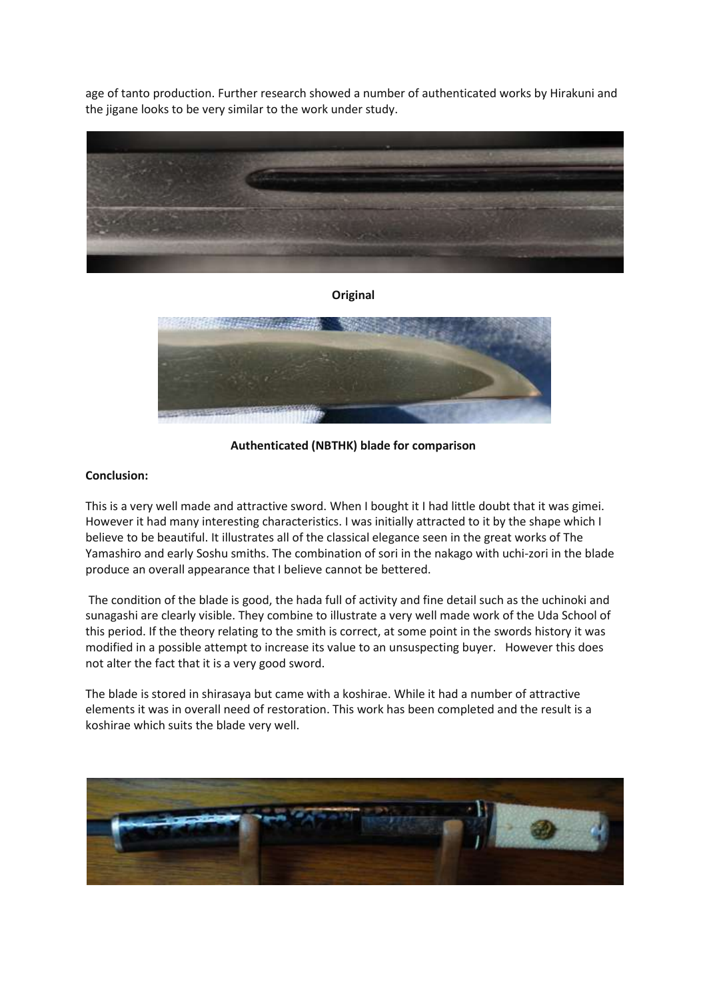age of tanto production. Further research showed a number of authenticated works by Hirakuni and the jigane looks to be very similar to the work under study.



**Original**



**Authenticated (NBTHK) blade for comparison**

## **Conclusion:**

This is a very well made and attractive sword. When I bought it I had little doubt that it was gimei. However it had many interesting characteristics. I was initially attracted to it by the shape which I believe to be beautiful. It illustrates all of the classical elegance seen in the great works of The Yamashiro and early Soshu smiths. The combination of sori in the nakago with uchi-zori in the blade produce an overall appearance that I believe cannot be bettered.

The condition of the blade is good, the hada full of activity and fine detail such as the uchinoki and sunagashi are clearly visible. They combine to illustrate a very well made work of the Uda School of this period. If the theory relating to the smith is correct, at some point in the swords history it was modified in a possible attempt to increase its value to an unsuspecting buyer. However this does not alter the fact that it is a very good sword.

The blade is stored in shirasaya but came with a koshirae. While it had a number of attractive elements it was in overall need of restoration. This work has been completed and the result is a koshirae which suits the blade very well.